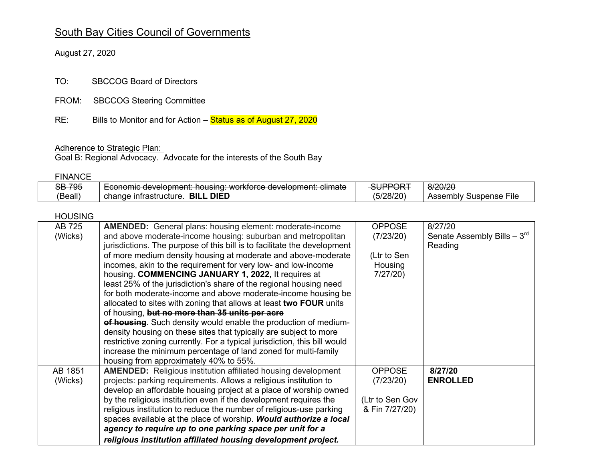# South Bay Cities Council of Governments

August 27, 2020

TO: SBCCOG Board of Directors

- FROM: SBCCOG Steering Committee
- RE: Bills to Monitor and for Action – Status as of August 27, 2020

#### Adherence to Strategic Plan:

Goal B: Regional Advocacy. Advocate for the interests of the South Bay

#### FINANCE

| <b>SB 795</b> | Leonomic dovolonmant: housing: worktorea dovolonmant: climato<br><del>LWIMING UCVCIUDHICHt. HUUSING. worklored uc<i>vciobhtch</i>t. oilinate</del> | SUPPORT              | 8/20/20                                                      |
|---------------|----------------------------------------------------------------------------------------------------------------------------------------------------|----------------------|--------------------------------------------------------------|
| (Beall)       | . DIED<br><b>BILL</b><br>chango intractructure<br><del>change initiasitucture</del> .                                                              | <del>(5/28/20)</del> | Accombly Suchance File<br><del>Assumbly ousburise File</del> |

### HOUSING

| AB 725  | <b>AMENDED:</b> General plans: housing element: moderate-income           | <b>OPPOSE</b>   | 8/27/20                         |
|---------|---------------------------------------------------------------------------|-----------------|---------------------------------|
| (Wicks) | and above moderate-income housing: suburban and metropolitan              | (7/23/20)       | Senate Assembly Bills $-3^{rd}$ |
|         | jurisdictions. The purpose of this bill is to facilitate the development  |                 | Reading                         |
|         | of more medium density housing at moderate and above-moderate             | (Ltr to Sen     |                                 |
|         | incomes, akin to the requirement for very low- and low-income             | Housing         |                                 |
|         | housing. COMMENCING JANUARY 1, 2022, It requires at                       | 7/27/20)        |                                 |
|         | least 25% of the jurisdiction's share of the regional housing need        |                 |                                 |
|         | for both moderate-income and above moderate-income housing be             |                 |                                 |
|         | allocated to sites with zoning that allows at least two FOUR units        |                 |                                 |
|         | of housing, but no more than 35 units per acre                            |                 |                                 |
|         | of housing. Such density would enable the production of medium-           |                 |                                 |
|         | density housing on these sites that typically are subject to more         |                 |                                 |
|         | restrictive zoning currently. For a typical jurisdiction, this bill would |                 |                                 |
|         | increase the minimum percentage of land zoned for multi-family            |                 |                                 |
|         | housing from approximately 40% to 55%.                                    |                 |                                 |
| AB 1851 | <b>AMENDED:</b> Religious institution affiliated housing development      | <b>OPPOSE</b>   | 8/27/20                         |
| (Wicks) | projects: parking requirements. Allows a religious institution to         | (7/23/20)       | <b>ENROLLED</b>                 |
|         | develop an affordable housing project at a place of worship owned         |                 |                                 |
|         | by the religious institution even if the development requires the         | (Ltr to Sen Gov |                                 |
|         | religious institution to reduce the number of religious-use parking       | & Fin 7/27/20)  |                                 |
|         | spaces available at the place of worship. Would authorize a local         |                 |                                 |
|         | agency to require up to one parking space per unit for a                  |                 |                                 |
|         | religious institution affiliated housing development project.             |                 |                                 |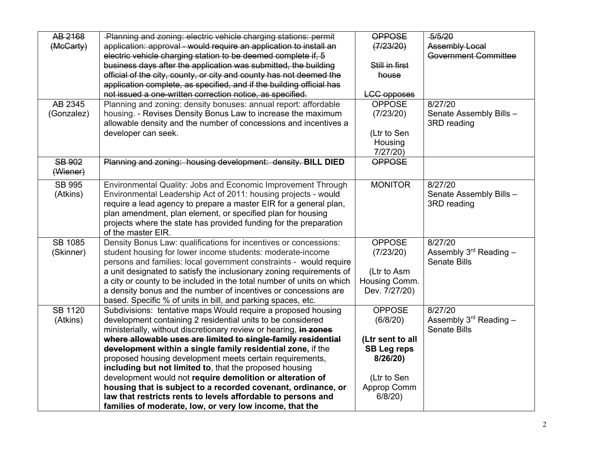| AB 2168        | -Planning and zoning: electric vehicle charging stations: permit                                                              | <b>OPPOSE</b>      | $-5/5/20$                          |
|----------------|-------------------------------------------------------------------------------------------------------------------------------|--------------------|------------------------------------|
| (McCarty)      | application: approval - would require an application to install an                                                            | (7/23/20)          | <b>Assembly Local</b>              |
|                | electric vehicle charging station to be deemed complete if, 5                                                                 |                    | <b>Government Committee</b>        |
|                | business days after the application was submitted, the building                                                               | Still in first     |                                    |
|                | official of the city, county, or city and county has not deemed the                                                           | house              |                                    |
|                | application complete, as specified, and if the building official has                                                          |                    |                                    |
|                | not issued a one-written correction notice, as specified.                                                                     | <b>LCC</b> opposes |                                    |
| AB 2345        | Planning and zoning: density bonuses: annual report: affordable                                                               | <b>OPPOSE</b>      | 8/27/20                            |
| (Gonzalez)     | housing. - Revises Density Bonus Law to increase the maximum                                                                  | (7/23/20)          | Senate Assembly Bills -            |
|                | allowable density and the number of concessions and incentives a                                                              |                    | 3RD reading                        |
|                | developer can seek.                                                                                                           | (Ltr to Sen        |                                    |
|                |                                                                                                                               | Housing            |                                    |
|                |                                                                                                                               | $7/27/20$ )        |                                    |
| <b>SB 902</b>  | Planning and zoning: housing development: density. BILL DIED                                                                  | <b>OPPOSE</b>      |                                    |
| (Wiener)       |                                                                                                                               |                    |                                    |
| <b>SB 995</b>  | Environmental Quality: Jobs and Economic Improvement Through                                                                  | <b>MONITOR</b>     | 8/27/20                            |
| (Atkins)       | Environmental Leadership Act of 2011: housing projects - would                                                                |                    | Senate Assembly Bills -            |
|                | require a lead agency to prepare a master EIR for a general plan,                                                             |                    | 3RD reading                        |
|                | plan amendment, plan element, or specified plan for housing                                                                   |                    |                                    |
|                | projects where the state has provided funding for the preparation                                                             |                    |                                    |
|                | of the master EIR.                                                                                                            |                    |                                    |
| <b>SB 1085</b> | Density Bonus Law: qualifications for incentives or concessions:                                                              | <b>OPPOSE</b>      | $\sqrt{8}/27/20$                   |
| (Skinner)      | student housing for lower income students: moderate-income                                                                    | (7/23/20)          | Assembly $3^{\text{rd}}$ Reading - |
|                | persons and families: local government constraints - would require                                                            |                    | <b>Senate Bills</b>                |
|                | a unit designated to satisfy the inclusionary zoning requirements of                                                          | (Ltr to Asm        |                                    |
|                | a city or county to be included in the total number of units on which                                                         | Housing Comm.      |                                    |
|                |                                                                                                                               |                    |                                    |
|                | a density bonus and the number of incentives or concessions are                                                               | Dev. 7/27/20)      |                                    |
| <b>SB 1120</b> | based. Specific % of units in bill, and parking spaces, etc.<br>Subdivisions: tentative maps Would require a proposed housing | <b>OPPOSE</b>      | 8/27/20                            |
|                | development containing 2 residential units to be considered                                                                   |                    | Assembly $3rd$ Reading $-$         |
| (Atkins)       |                                                                                                                               | (6/8/20)           | <b>Senate Bills</b>                |
|                | ministerially, without discretionary review or hearing, in zones                                                              |                    |                                    |
|                | where allowable uses are limited to single-family residential                                                                 | (Ltr sent to all   |                                    |
|                | development within a single family residential zone, if the                                                                   | <b>SB Leg reps</b> |                                    |
|                | proposed housing development meets certain requirements,                                                                      | 8/26/20            |                                    |
|                | including but not limited to, that the proposed housing                                                                       |                    |                                    |
|                | development would not require demolition or alteration of                                                                     | (Ltr to Sen        |                                    |
|                | housing that is subject to a recorded covenant, ordinance, or                                                                 | Approp Comm        |                                    |
|                | law that restricts rents to levels affordable to persons and                                                                  | $6/8/20$ )         |                                    |
|                | families of moderate, low, or very low income, that the                                                                       |                    |                                    |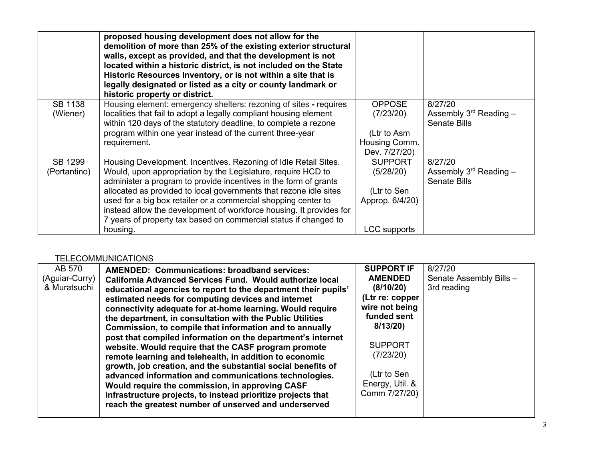|                            | proposed housing development does not allow for the<br>demolition of more than 25% of the existing exterior structural<br>walls, except as provided, and that the development is not<br>located within a historic district, is not included on the State<br>Historic Resources Inventory, or is not within a site that is<br>legally designated or listed as a city or county landmark or<br>historic property or district.                                                                       |                                                                               |                                                                 |
|----------------------------|---------------------------------------------------------------------------------------------------------------------------------------------------------------------------------------------------------------------------------------------------------------------------------------------------------------------------------------------------------------------------------------------------------------------------------------------------------------------------------------------------|-------------------------------------------------------------------------------|-----------------------------------------------------------------|
| <b>SB 1138</b><br>(Wiener) | Housing element: emergency shelters: rezoning of sites - requires<br>localities that fail to adopt a legally compliant housing element<br>within 120 days of the statutory deadline, to complete a rezone<br>program within one year instead of the current three-year<br>requirement.                                                                                                                                                                                                            | <b>OPPOSE</b><br>(7/23/20)<br>(Ltr to Asm<br>Housing Comm.<br>Dev. 7/27/20)   | 8/27/20<br>Assembly $3^{rd}$ Reading $-$<br><b>Senate Bills</b> |
| SB 1299<br>(Portantino)    | Housing Development. Incentives. Rezoning of Idle Retail Sites.<br>Would, upon appropriation by the Legislature, require HCD to<br>administer a program to provide incentives in the form of grants<br>allocated as provided to local governments that rezone idle sites<br>used for a big box retailer or a commercial shopping center to<br>instead allow the development of workforce housing. It provides for<br>7 years of property tax based on commercial status if changed to<br>housing. | <b>SUPPORT</b><br>(5/28/20)<br>(Ltr to Sen<br>Approp. 6/4/20)<br>LCC supports | 8/27/20<br>Assembly $3^{rd}$ Reading -<br><b>Senate Bills</b>   |

# TELECOMMUNICATIONS

| AB 570<br>(Aguiar-Curry)<br>& Muratsuchi | <b>AMENDED: Communications: broadband services:</b><br>California Advanced Services Fund. Would authorize local<br>educational agencies to report to the department their pupils'<br>estimated needs for computing devices and internet<br>connectivity adequate for at-home learning. Would require<br>the department, in consultation with the Public Utilities<br>Commission, to compile that information and to annually<br>post that compiled information on the department's internet<br>website. Would require that the CASF program promote<br>remote learning and telehealth, in addition to economic<br>growth, job creation, and the substantial social benefits of<br>advanced information and communications technologies.<br>Would require the commission, in approving CASF<br>infrastructure projects, to instead prioritize projects that<br>reach the greatest number of unserved and underserved | <b>SUPPORT IF</b><br><b>AMENDED</b><br>(8/10/20)<br>(Ltr re: copper<br>wire not being<br>funded sent<br>8/13/20<br><b>SUPPORT</b><br>(7/23/20)<br>(Ltr to Sen<br>Energy, Util. &<br>Comm 7/27/20) | 8/27/20<br>Senate Assembly Bills -<br>3rd reading |
|------------------------------------------|---------------------------------------------------------------------------------------------------------------------------------------------------------------------------------------------------------------------------------------------------------------------------------------------------------------------------------------------------------------------------------------------------------------------------------------------------------------------------------------------------------------------------------------------------------------------------------------------------------------------------------------------------------------------------------------------------------------------------------------------------------------------------------------------------------------------------------------------------------------------------------------------------------------------|---------------------------------------------------------------------------------------------------------------------------------------------------------------------------------------------------|---------------------------------------------------|
|------------------------------------------|---------------------------------------------------------------------------------------------------------------------------------------------------------------------------------------------------------------------------------------------------------------------------------------------------------------------------------------------------------------------------------------------------------------------------------------------------------------------------------------------------------------------------------------------------------------------------------------------------------------------------------------------------------------------------------------------------------------------------------------------------------------------------------------------------------------------------------------------------------------------------------------------------------------------|---------------------------------------------------------------------------------------------------------------------------------------------------------------------------------------------------|---------------------------------------------------|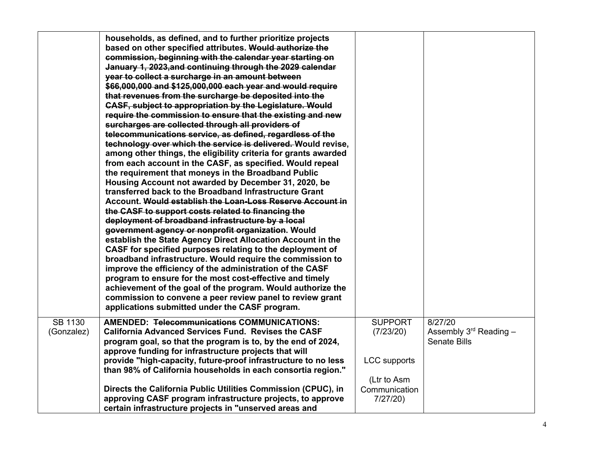|                              | households, as defined, and to further prioritize projects<br>based on other specified attributes. Would authorize the<br>commission, beginning with the calendar year starting on<br>January 1, 2023, and continuing through the 2029 calendar<br>year to collect a surcharge in an amount between<br>\$66,000,000 and \$125,000,000 each year and would require<br>that revenues from the surcharge be deposited into the<br><b>CASF, subject to appropriation by the Legislature. Would</b><br>require the commission to ensure that the existing and new<br>surcharges are collected through all providers of<br>telecommunications service, as defined, regardless of the<br>technology over which the service is delivered. Would revise,<br>among other things, the eligibility criteria for grants awarded<br>from each account in the CASF, as specified. Would repeal<br>the requirement that moneys in the Broadband Public<br>Housing Account not awarded by December 31, 2020, be<br>transferred back to the Broadband Infrastructure Grant<br>Account. Would establish the Loan-Loss Reserve Account in<br>the CASF to support costs related to financing the<br>deployment of broadband infrastructure by a local<br>government agency or nonprofit organization. Would<br>establish the State Agency Direct Allocation Account in the<br>CASF for specified purposes relating to the deployment of<br>broadband infrastructure. Would require the commission to<br>improve the efficiency of the administration of the CASF<br>program to ensure for the most cost-effective and timely<br>achievement of the goal of the program. Would authorize the<br>commission to convene a peer review panel to review grant<br>applications submitted under the CASF program. |                                                    |                                                               |
|------------------------------|---------------------------------------------------------------------------------------------------------------------------------------------------------------------------------------------------------------------------------------------------------------------------------------------------------------------------------------------------------------------------------------------------------------------------------------------------------------------------------------------------------------------------------------------------------------------------------------------------------------------------------------------------------------------------------------------------------------------------------------------------------------------------------------------------------------------------------------------------------------------------------------------------------------------------------------------------------------------------------------------------------------------------------------------------------------------------------------------------------------------------------------------------------------------------------------------------------------------------------------------------------------------------------------------------------------------------------------------------------------------------------------------------------------------------------------------------------------------------------------------------------------------------------------------------------------------------------------------------------------------------------------------------------------------------------------------------------------------------------------------------------------------------------------|----------------------------------------------------|---------------------------------------------------------------|
| <b>SB 1130</b><br>(Gonzalez) | <b>AMENDED: Telecommunications COMMUNICATIONS:</b><br><b>California Advanced Services Fund. Revises the CASF</b><br>program goal, so that the program is to, by the end of 2024,<br>approve funding for infrastructure projects that will<br>provide "high-capacity, future-proof infrastructure to no less<br>than 98% of California households in each consortia region."                                                                                                                                                                                                                                                                                                                                                                                                                                                                                                                                                                                                                                                                                                                                                                                                                                                                                                                                                                                                                                                                                                                                                                                                                                                                                                                                                                                                           | <b>SUPPORT</b><br>(7/23/20)<br><b>LCC</b> supports | 8/27/20<br>Assembly $3^{rd}$ Reading -<br><b>Senate Bills</b> |
|                              | Directs the California Public Utilities Commission (CPUC), in<br>approving CASF program infrastructure projects, to approve<br>certain infrastructure projects in "unserved areas and                                                                                                                                                                                                                                                                                                                                                                                                                                                                                                                                                                                                                                                                                                                                                                                                                                                                                                                                                                                                                                                                                                                                                                                                                                                                                                                                                                                                                                                                                                                                                                                                 | (Ltr to Asm<br>Communication<br>7/27/20            |                                                               |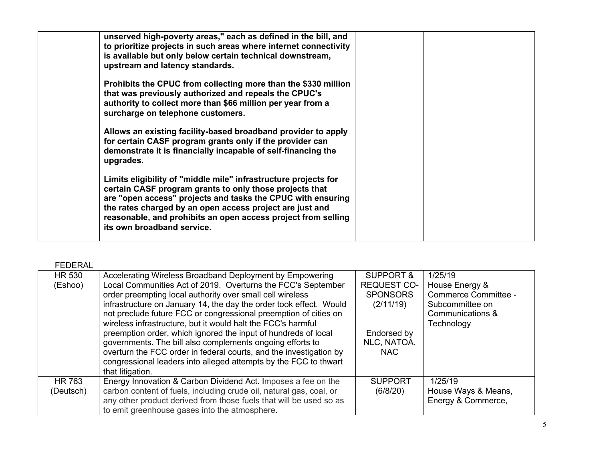| unserved high-poverty areas," each as defined in the bill, and<br>to prioritize projects in such areas where internet connectivity<br>is available but only below certain technical downstream,<br>upstream and latency standards.                                                                                                                   |  |
|------------------------------------------------------------------------------------------------------------------------------------------------------------------------------------------------------------------------------------------------------------------------------------------------------------------------------------------------------|--|
| Prohibits the CPUC from collecting more than the \$330 million<br>that was previously authorized and repeals the CPUC's<br>authority to collect more than \$66 million per year from a<br>surcharge on telephone customers.                                                                                                                          |  |
| Allows an existing facility-based broadband provider to apply<br>for certain CASF program grants only if the provider can<br>demonstrate it is financially incapable of self-financing the<br>upgrades.                                                                                                                                              |  |
| Limits eligibility of "middle mile" infrastructure projects for<br>certain CASF program grants to only those projects that<br>are "open access" projects and tasks the CPUC with ensuring<br>the rates charged by an open access project are just and<br>reasonable, and prohibits an open access project from selling<br>its own broadband service. |  |

# FEDERAL

| <b>HR 530</b> | Accelerating Wireless Broadband Deployment by Empowering            | <b>SUPPORT &amp;</b> | 1/25/19              |
|---------------|---------------------------------------------------------------------|----------------------|----------------------|
| (Eshoo)       | Local Communities Act of 2019. Overturns the FCC's September        | <b>REQUEST CO-</b>   | House Energy &       |
|               | order preempting local authority over small cell wireless           | <b>SPONSORS</b>      | Commerce Committee - |
|               | infrastructure on January 14, the day the order took effect. Would  | (2/11/19)            | Subcommittee on      |
|               | not preclude future FCC or congressional preemption of cities on    |                      | Communications &     |
|               | wireless infrastructure, but it would halt the FCC's harmful        |                      | Technology           |
|               | preemption order, which ignored the input of hundreds of local      | Endorsed by          |                      |
|               | governments. The bill also complements ongoing efforts to           | NLC, NATOA,          |                      |
|               | overturn the FCC order in federal courts, and the investigation by  | <b>NAC</b>           |                      |
|               | congressional leaders into alleged attempts by the FCC to thwart    |                      |                      |
|               | that litigation.                                                    |                      |                      |
| <b>HR 763</b> | Energy Innovation & Carbon Dividend Act. Imposes a fee on the       | <b>SUPPORT</b>       | 1/25/19              |
| (Deutsch)     | carbon content of fuels, including crude oil, natural gas, coal, or | (6/8/20)             | House Ways & Means,  |
|               | any other product derived from those fuels that will be used so as  |                      | Energy & Commerce,   |
|               | to emit greenhouse gases into the atmosphere.                       |                      |                      |